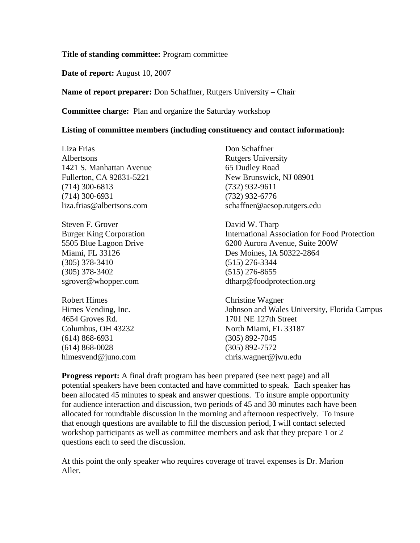#### **Title of standing committee:** Program committee

### **Date of report:** August 10, 2007

## **Name of report preparer:** Don Schaffner, Rutgers University – Chair

#### **Committee charge:** Plan and organize the Saturday workshop

#### **Listing of committee members (including constituency and contact information):**

Liza Frias Albertsons 1421 S. Manhattan Avenue Fullerton, CA 92831-5221 (714) 300-6813 (714) 300-6931 liza.frias@albertsons.com

Steven F. Grover Burger King Corporation 5505 Blue Lagoon Drive Miami, FL 33126 (305) 378-3410 (305) 378-3402 sgrover@whopper.com

Robert Himes Himes Vending, Inc. 4654 Groves Rd. Columbus, OH 43232 (614) 868-6931 (614) 868-0028 himesvend@juno.com

Don Schaffner Rutgers University 65 Dudley Road New Brunswick, NJ 08901 (732) 932-9611 (732) 932-6776 schaffner@aesop.rutgers.edu

David W. Tharp International Association for Food Protection 6200 Aurora Avenue, Suite 200W Des Moines, IA 50322-2864 (515) 276-3344 (515) 276-8655 dtharp@foodprotection.org

Christine Wagner Johnson and Wales University, Florida Campus 1701 NE 127th Street North Miami, FL 33187 (305) 892-7045 (305) 892-7572 chris.wagner@jwu.edu

**Progress report:** A final draft program has been prepared (see next page) and all potential speakers have been contacted and have committed to speak. Each speaker has been allocated 45 minutes to speak and answer questions. To insure ample opportunity for audience interaction and discussion, two periods of 45 and 30 minutes each have been allocated for roundtable discussion in the morning and afternoon respectively. To insure that enough questions are available to fill the discussion period, I will contact selected workshop participants as well as committee members and ask that they prepare 1 or 2 questions each to seed the discussion.

At this point the only speaker who requires coverage of travel expenses is Dr. Marion Aller.